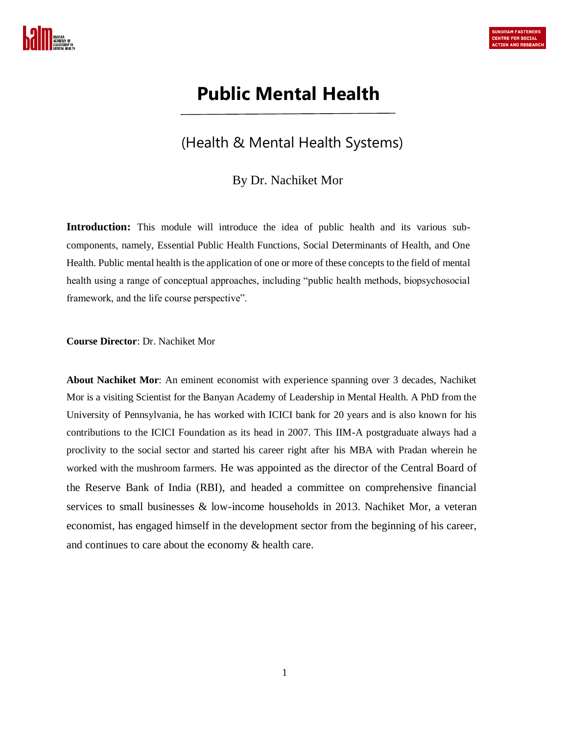

# **Public Mental Health**

# (Health & Mental Health Systems)

## By Dr. Nachiket Mor

**Introduction:** This module will introduce the idea of public health and its various subcomponents, namely, Essential Public Health Functions, Social Determinants of Health, and One Health. Public mental health is the application of one or more of these concepts to the field of mental health using a range of conceptual approaches, including "public health methods, biopsychosocial framework, and the life course perspective".

#### **Course Director**: Dr. Nachiket Mor

**About Nachiket Mor**: An eminent economist with experience spanning over 3 decades, Nachiket Mor is a visiting Scientist for the Banyan Academy of Leadership in Mental Health. A PhD from the University of Pennsylvania, he has worked with ICICI bank for 20 years and is also known for his contributions to the ICICI Foundation as its head in 2007. This IIM-A postgraduate always had a proclivity to the social sector and started his career right after his MBA with Pradan wherein he worked with the mushroom farmers. He was appointed as the director of the Central Board of the Reserve Bank of India (RBI), and headed a committee on comprehensive financial services to small businesses & low-income households in 2013. Nachiket Mor, a veteran economist, has engaged himself in the development sector from the beginning of his career, and continues to care about the economy & health care.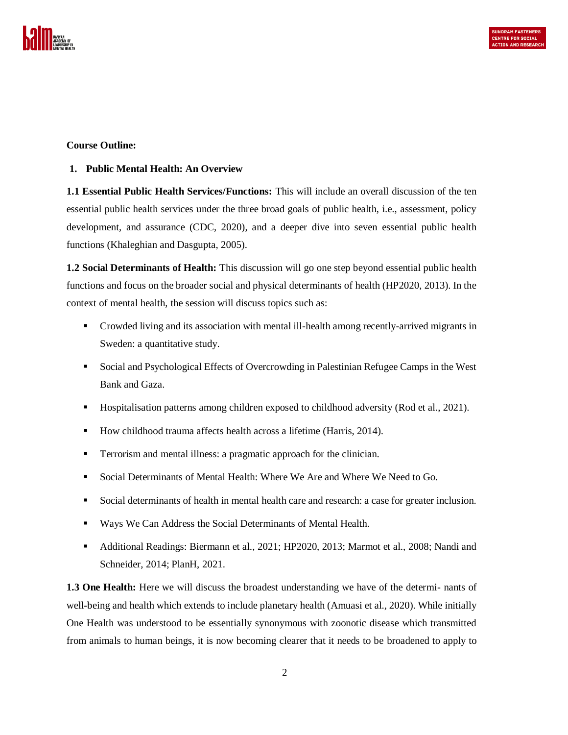

#### **Course Outline:**

#### **1. Public Mental Health: An Overview**

**1.1 Essential Public Health Services/Functions:** This will include an overall discussion of the ten essential public health services under the three broad goals of public health, i.e., assessment, policy development, and assurance (CDC, 2020), and a deeper dive into seven essential public health functions (Khaleghian and Dasgupta, 2005).

**1.2 Social Determinants of Health:** This discussion will go one step beyond essential public health functions and focus on the broader social and physical determinants of health (HP2020, 2013). In the context of mental health, the session will discuss topics such as:

- Crowded living and its association with mental ill-health among recently-arrived migrants in Sweden: a quantitative study.
- Social and Psychological Effects of Overcrowding in Palestinian Refugee Camps in the West Bank and Gaza.
- **Hospitalisation patterns among children exposed to childhood adversity (Rod et al., 2021).**
- How childhood trauma affects health across a lifetime (Harris, 2014).
- Terrorism and mental illness: a pragmatic approach for the clinician.
- Social Determinants of Mental Health: Where We Are and Where We Need to Go.
- Social determinants of health in mental health care and research: a case for greater inclusion.
- Ways We Can Address the Social Determinants of Mental Health.
- Additional Readings: Biermann et al., 2021; HP2020, 2013; Marmot et al., 2008; Nandi and Schneider, 2014; PlanH, 2021.

**1.3 One Health:** Here we will discuss the broadest understanding we have of the determi- nants of well-being and health which extends to include planetary health (Amuasi et al., 2020). While initially One Health was understood to be essentially synonymous with zoonotic disease which transmitted from animals to human beings, it is now becoming clearer that it needs to be broadened to apply to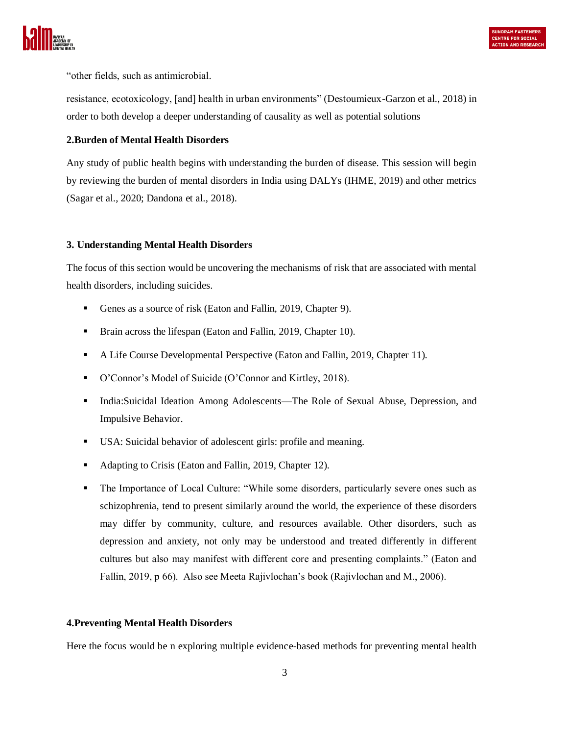

"other fields, such as antimicrobial.

resistance, ecotoxicology, [and] health in urban environments" (Destoumieux-Garzon et al., 2018) in order to both develop a deeper understanding of causality as well as potential solutions

#### **2.Burden of Mental Health Disorders**

Any study of public health begins with understanding the burden of disease. This session will begin by reviewing the burden of mental disorders in India using DALYs (IHME, 2019) and other metrics (Sagar et al., 2020; Dandona et al., 2018).

#### **3. Understanding Mental Health Disorders**

The focus of this section would be uncovering the mechanisms of risk that are associated with mental health disorders, including suicides.

- Genes as a source of risk (Eaton and Fallin, 2019, Chapter 9).
- **Brain across the lifespan (Eaton and Fallin, 2019, Chapter 10).**
- A Life Course Developmental Perspective (Eaton and Fallin, 2019, Chapter 11).
- O'Connor's Model of Suicide (O'Connor and Kirtley, 2018).
- India:Suicidal Ideation Among Adolescents—The Role of Sexual Abuse, Depression, and Impulsive Behavior.
- USA: Suicidal behavior of adolescent girls: profile and meaning.
- Adapting to Crisis (Eaton and Fallin, 2019, Chapter 12).
- The Importance of Local Culture: "While some disorders, particularly severe ones such as schizophrenia, tend to present similarly around the world, the experience of these disorders may differ by community, culture, and resources available. Other disorders, such as depression and anxiety, not only may be understood and treated differently in different cultures but also may manifest with different core and presenting complaints." (Eaton and Fallin, 2019, p 66). Also see Meeta Rajivlochan's book (Rajivlochan and M., 2006).

#### **4.Preventing Mental Health Disorders**

Here the focus would be n exploring multiple evidence-based methods for preventing mental health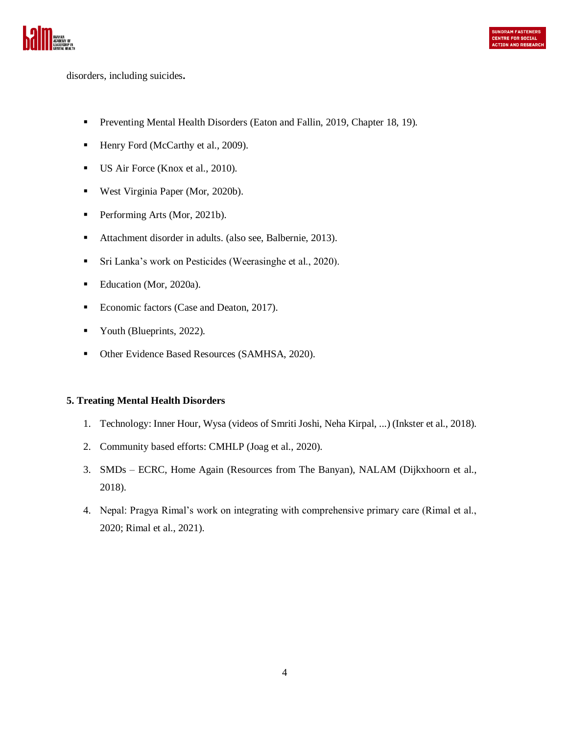

disorders, including suicides**.**

- **Preventing Mental Health Disorders (Eaton and Fallin, 2019, Chapter 18, 19).**
- Henry Ford (McCarthy et al., 2009).
- US Air Force (Knox et al., 2010).
- West Virginia Paper (Mor, 2020b).
- Performing Arts (Mor, 2021b).
- Attachment disorder in adults. (also see, Balbernie, 2013).
- Sri Lanka's work on Pesticides (Weerasinghe et al., 2020).
- Education (Mor, 2020a).
- Economic factors (Case and Deaton, 2017).
- Vouth (Blueprints, 2022).
- Other Evidence Based Resources (SAMHSA, 2020).

#### **5. Treating Mental Health Disorders**

- 1. Technology: Inner Hour, Wysa (videos of Smriti Joshi, Neha Kirpal, ...) (Inkster et al., 2018).
- 2. Community based efforts: CMHLP (Joag et al., 2020).
- 3. SMDs ECRC, Home Again (Resources from The Banyan), NALAM (Dijkxhoorn et al., 2018).
- 4. Nepal: Pragya Rimal's work on integrating with comprehensive primary care (Rimal et al., 2020; Rimal et al., 2021).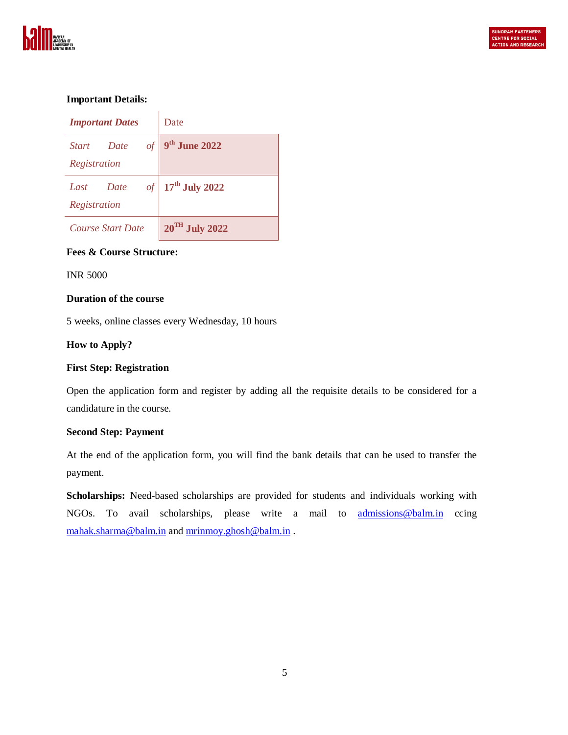

#### **Important Details:**

| <b>Important Dates</b>                                | Date                       |
|-------------------------------------------------------|----------------------------|
| $\mathcal{Q}$<br><i>Start</i><br>Date<br>Registration | 9 <sup>th</sup> June 2022  |
| $\iota$<br>Date<br>Last<br>Registration               | $17th$ July 2022           |
| <b>Course Start Date</b>                              | $20^{\text{TH}}$ July 2022 |

#### **Fees & Course Structure:**

INR 5000

#### **Duration of the course**

5 weeks, online classes every Wednesday, 10 hours

#### **How to Apply?**

#### **First Step: Registration**

Open the application form and register by adding all the requisite details to be considered for a candidature in the course.

#### **Second Step: Payment**

At the end of the application form, you will find the bank details that can be used to transfer the payment.

**Scholarships:** Need-based scholarships are provided for students and individuals working with NGOs. To avail scholarships, please write a mail to **[admissions@balm.in](mailto:admissions@balm.in)** ccing [mahak.sharma@balm.in](mailto:mahak.sharma@balm.in) and [mrinmoy.ghosh@balm.in](mailto:mrinmoy.ghosh@balm.in) .